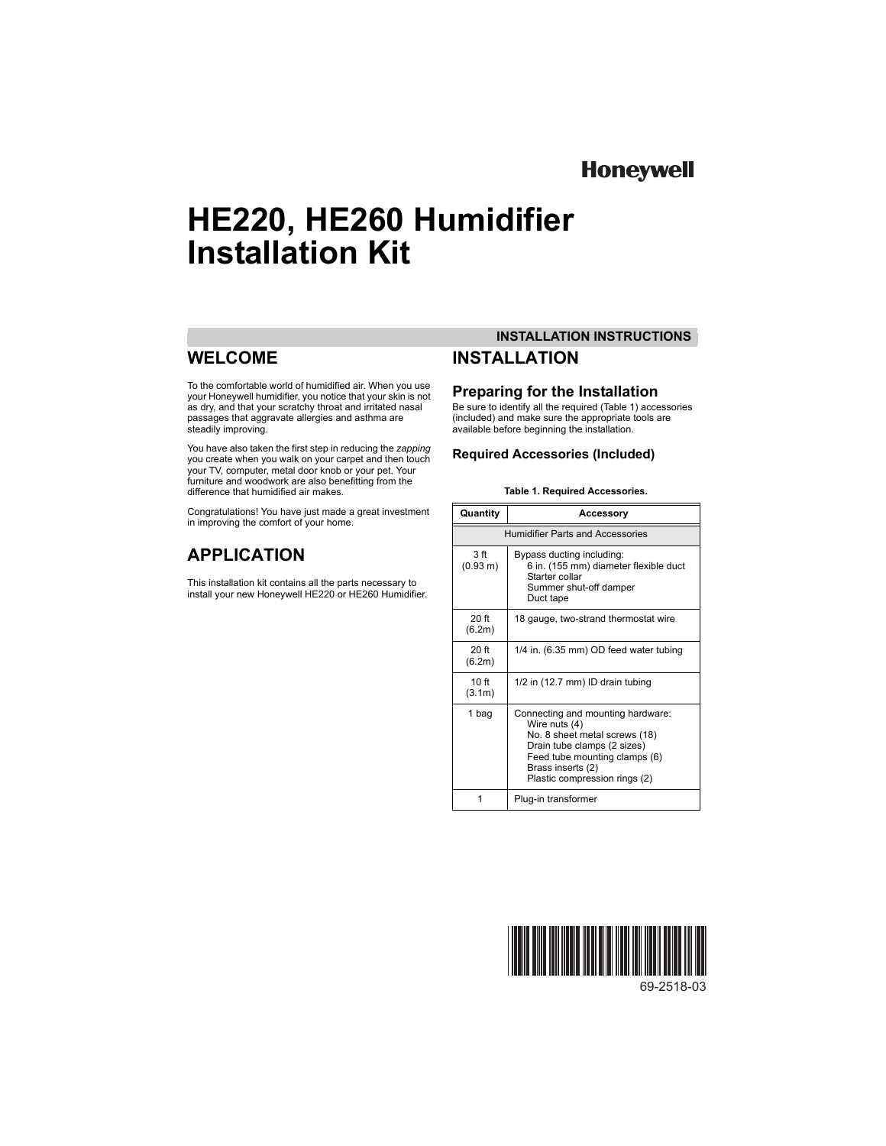## **Honeywell**

# **HE220, HE260 Humidifier Installation Kit**

## **WELCOME**

To the comfortable world of humidified air. When you use your Honeywell humidifier, you notice that your skin is not as dry, and that your scratchy throat and irritated nasal passages that aggravate allergies and asthma are steadily improving.

You have also taken the first step in reducing the *zapping* you create when you walk on your carpet and then touch your TV, computer, metal door knob or your pet. Your furniture and woodwork are also benefitting from the difference that humidified air makes.

Congratulations! You have just made a great investment in improving the comfort of your home.

## **APPLICATION**

This installation kit contains all the parts necessary to install your new Honeywell HE220 or HE260 Humidifier.

## **INSTALLATION INSTRUCTIONS INSTALLATION**

## **Preparing for the Installation**

Be sure to identify all the required (Table 1) accessories (included) and make sure the appropriate tools are available before beginning the installation.

## **Required Accessories (Included)**

#### **Table 1. Required Accessories.**

| Quantity                                | <b>Accessory</b>                                                                                                                                                                                          |  |  |
|-----------------------------------------|-----------------------------------------------------------------------------------------------------------------------------------------------------------------------------------------------------------|--|--|
| <b>Humidifier Parts and Accessories</b> |                                                                                                                                                                                                           |  |  |
| 3 <sub>f</sub><br>(0.93 m)              | Bypass ducting including:<br>6 in. (155 mm) diameter flexible duct<br>Starter collar<br>Summer shut-off damper<br>Duct tape                                                                               |  |  |
| $20$ ft<br>(6.2m)                       | 18 gauge, two-strand thermostat wire                                                                                                                                                                      |  |  |
| $20f$ ff<br>(6.2m)                      | 1/4 in. (6.35 mm) OD feed water tubing                                                                                                                                                                    |  |  |
| 10 ft<br>(3.1m)                         | 1/2 in (12.7 mm) ID drain tubing                                                                                                                                                                          |  |  |
| 1 bag                                   | Connecting and mounting hardware:<br>Wire nuts (4)<br>No. 8 sheet metal screws (18)<br>Drain tube clamps (2 sizes)<br>Feed tube mounting clamps (6)<br>Brass inserts (2)<br>Plastic compression rings (2) |  |  |
|                                         | Plug-in transformer                                                                                                                                                                                       |  |  |



69-2518-03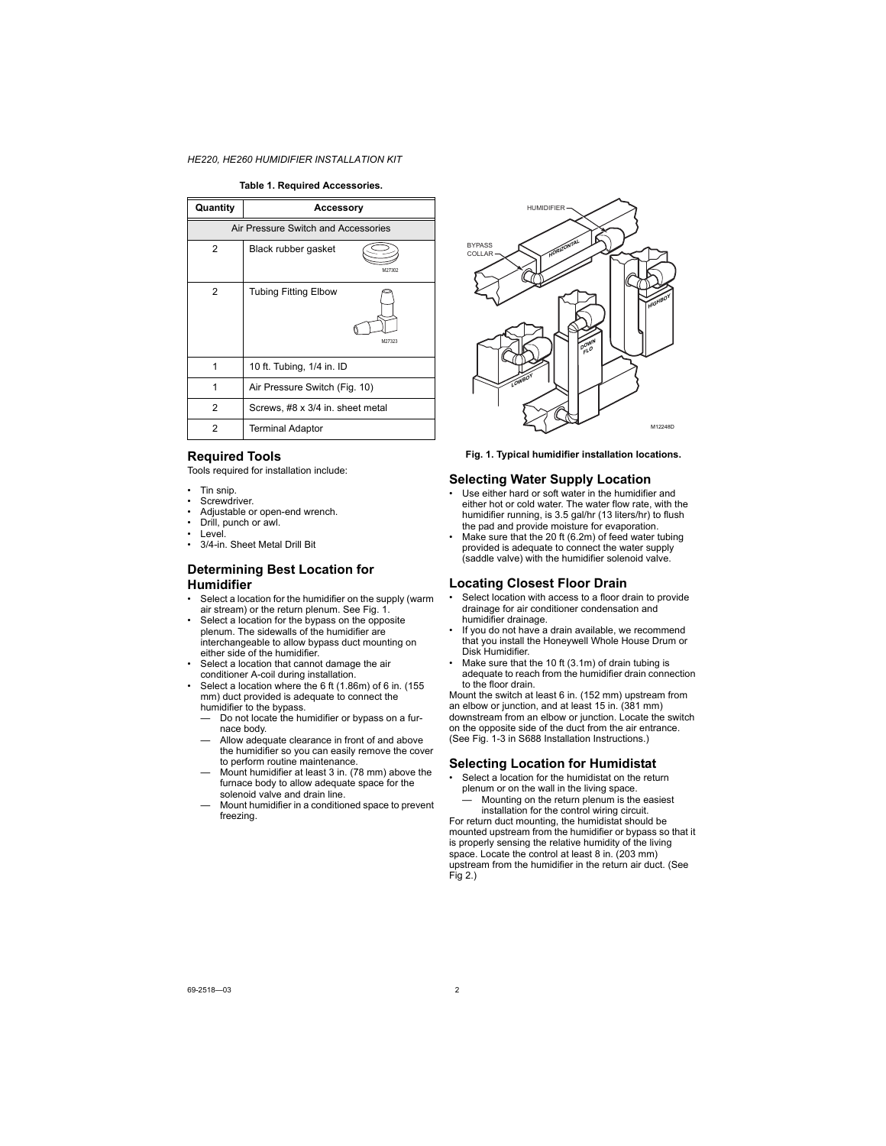#### **Table 1. Required Accessories.**

| Quantity                            | Accessory                             |  |  |
|-------------------------------------|---------------------------------------|--|--|
| Air Pressure Switch and Accessories |                                       |  |  |
| 2                                   | Black rubber gasket<br>M27302         |  |  |
| 2                                   | <b>Tubing Fitting Elbow</b><br>M27323 |  |  |
| 1                                   | 10 ft. Tubing, 1/4 in. ID             |  |  |
| 1                                   | Air Pressure Switch (Fig. 10)         |  |  |
| $\overline{c}$                      | Screws, #8 x 3/4 in. sheet metal      |  |  |
| 2                                   | <b>Terminal Adaptor</b>               |  |  |

### **Required Tools**

Tools required for installation include:

- Tin snip.
- Screwdriver.
- Adjustable or open-end wrench.
- Drill, punch or awl.
- Level.
- 3/4-in. Sheet Metal Drill Bit

### **Determining Best Location for Humidifier**

- Select a location for the humidifier on the supply (warm air stream) or the return plenum. See Fig. 1.
- Select a location for the bypass on the opposite plenum. The sidewalls of the humidifier are interchangeable to allow bypass duct mounting on either side of the humidifier.
- Select a location that cannot damage the air conditioner A-coil during installation.
- Select a location where the 6 ft (1.86m) of 6 in. (155 mm) duct provided is adequate to connect the humidifier to the bypass.
	- Do not locate the humidifier or bypass on a furnace body.
	- Allow adequate clearance in front of and above the humidifier so you can easily remove the cover to perform routine maintenance.
	- Mount humidifier at least 3 in. (78 mm) above the furnace body to allow adequate space for the solenoid valve and drain line.
	- Mount humidifier in a conditioned space to prevent freezing.



**Fig. 1. Typical humidifier installation locations.**

### **Selecting Water Supply Location**

- Use either hard or soft water in the humidifier and either hot or cold water. The water flow rate, with the humidifier running, is 3.5 gal/hr (13 liters/hr) to flush the pad and provide moisture for evaporation.
- Make sure that the 20 ft (6.2m) of feed water tubing provided is adequate to connect the water supply (saddle valve) with the humidifier solenoid valve.

### **Locating Closest Floor Drain**

- Select location with access to a floor drain to provide drainage for air conditioner condensation and humidifier drainage.
- If you do not have a drain available, we recommend that you install the Honeywell Whole House Drum or Disk Humidifier.
- Make sure that the 10 ft (3.1m) of drain tubing is adequate to reach from the humidifier drain connection to the floor drain.

Mount the switch at least 6 in. (152 mm) upstream from an elbow or junction, and at least 15 in. (381 mm) downstream from an elbow or junction. Locate the switch on the opposite side of the duct from the air entrance. (See Fig. 1-3 in S688 Installation Instructions.)

### **Selecting Location for Humidistat**

- Select a location for the humidistat on the return plenum or on the wall in the living space.
	- Mounting on the return plenum is the easiest installation for the control wiring circuit.

For return duct mounting, the humidistat should be mounted upstream from the humidifier or bypass so that it is properly sensing the relative humidity of the living space. Locate the control at least 8 in. (203 mm) upstream from the humidifier in the return air duct. (See Fig 2.)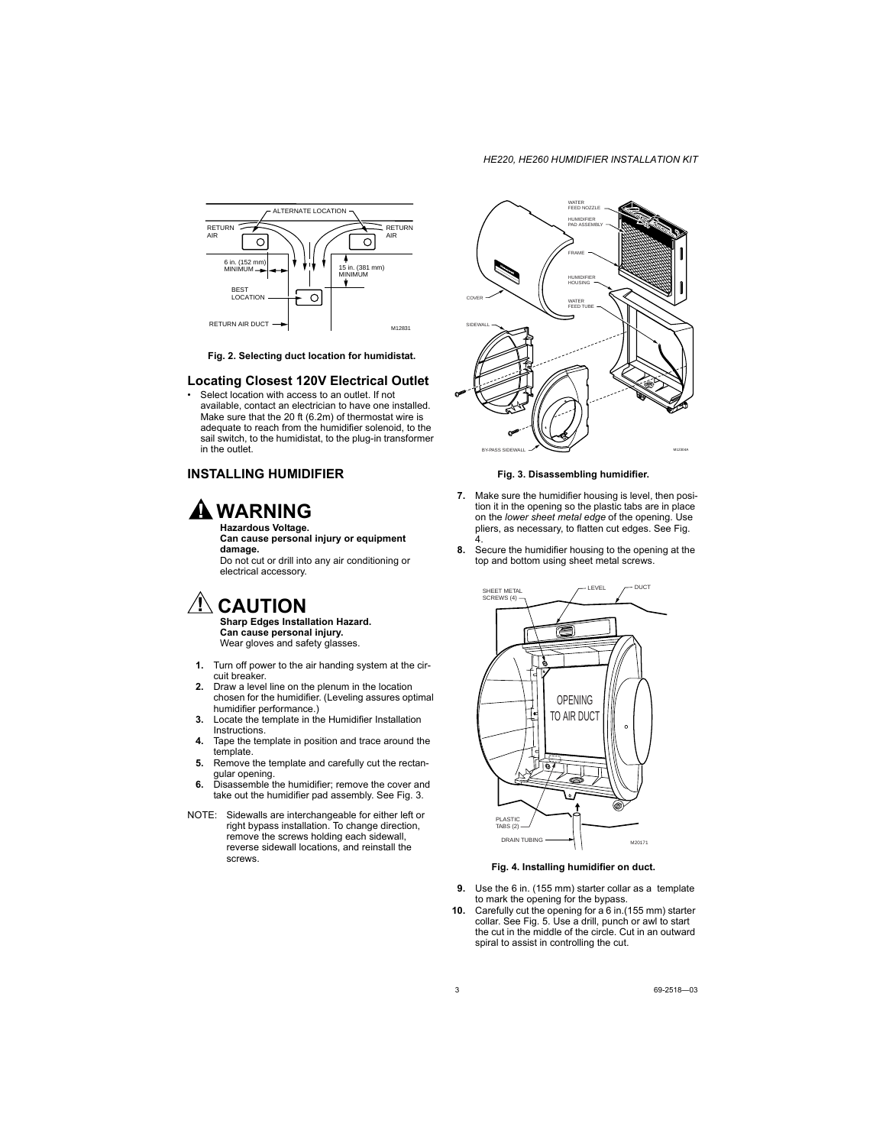

**Fig. 2. Selecting duct location for humidistat.**

### **Locating Closest 120V Electrical Outlet**

• Select location with access to an outlet. If not available, contact an electrician to have one installed. Make sure that the 20 ft (6.2m) of thermostat wire is adequate to reach from the humidifier solenoid, to the sail switch, to the humidistat, to the plug-in transformer in the outlet.

### **INSTALLING HUMIDIFIER**

## **WARNING**

**Hazardous Voltage. Can cause personal injury or equipment damage.**

Do not cut or drill into any air conditioning or electrical accessory.

## **CAUTION**

**Sharp Edges Installation Hazard. Can cause personal injury.** Wear gloves and safety glasses.

- **1.** Turn off power to the air handing system at the circuit breaker.
- **2.** Draw a level line on the plenum in the location chosen for the humidifier. (Leveling assures optimal humidifier performance.)
- **3.** Locate the template in the Humidifier Installation Instructions.
- **4.** Tape the template in position and trace around the template.
- **5.** Remove the template and carefully cut the rectangular opening.
- **6.** Disassemble the humidifier; remove the cover and take out the humidifier pad assembly. See Fig. 3.
- NOTE: Sidewalls are interchangeable for either left or right bypass installation. To change direction, remove the screws holding each sidewall, reverse sidewall locations, and reinstall the screws.



**Fig. 3. Disassembling humidifier.**

- **7.** Make sure the humidifier housing is level, then position it in the opening so the plastic tabs are in place on the *lower sheet metal edge* of the opening. Use pliers, as necessary, to flatten cut edges. See Fig. 4.
- **8.** Secure the humidifier housing to the opening at the top and bottom using sheet metal screws.



**Fig. 4. Installing humidifier on duct.**

- **9.** Use the 6 in. (155 mm) starter collar as a template to mark the opening for the bypass.
- **10.** Carefully cut the opening for a 6 in.(155 mm) starter collar. See Fig. 5. Use a drill, punch or awl to start the cut in the middle of the circle. Cut in an outward spiral to assist in controlling the cut.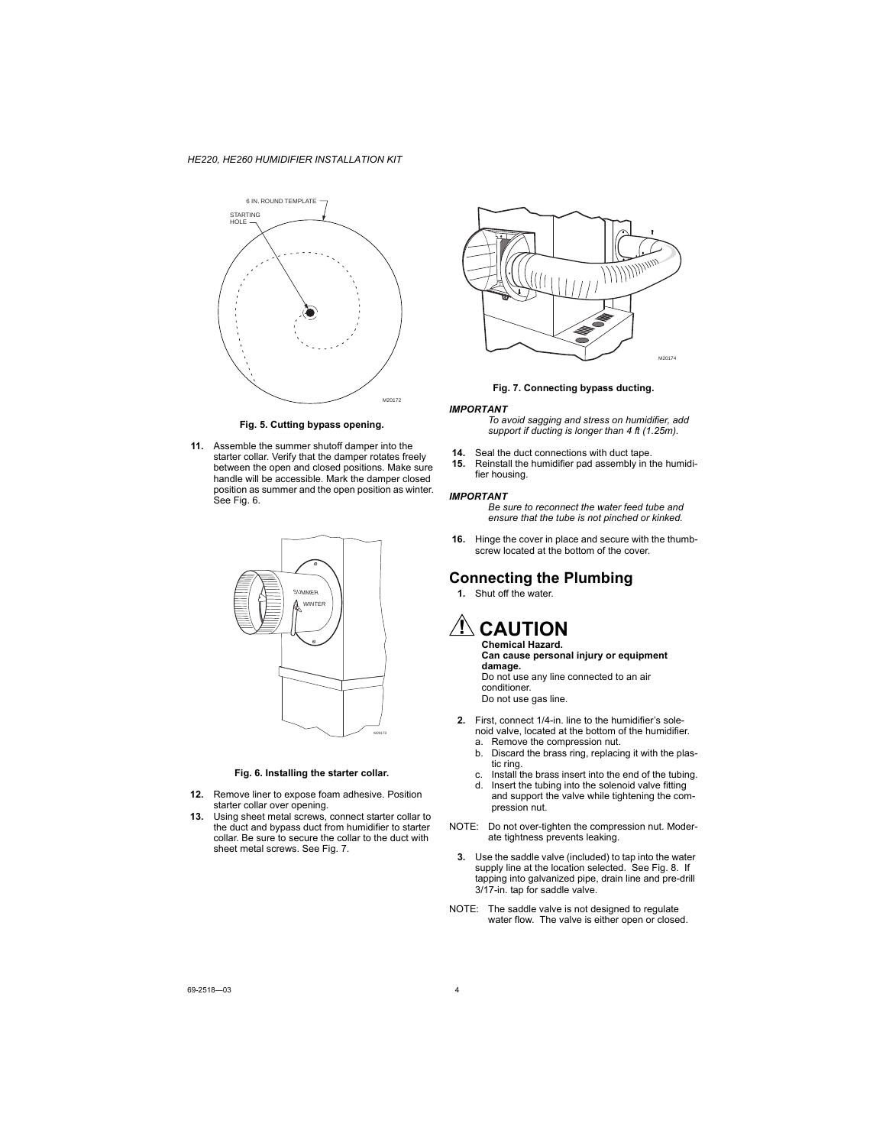

**Fig. 5. Cutting bypass opening.**

**11.** Assemble the summer shutoff damper into the starter collar. Verify that the damper rotates freely between the open and closed positions. Make sure handle will be accessible. Mark the damper closed position as summer and the open position as winter. See Fig. 6.



#### **Fig. 6. Installing the starter collar.**

- **12.** Remove liner to expose foam adhesive. Position starter collar over opening.
- **13.** Using sheet metal screws, connect starter collar to the duct and bypass duct from humidifier to starter collar. Be sure to secure the collar to the duct with sheet metal screws. See Fig. 7.





#### *IMPORTANT*

*To avoid sagging and stress on humidifier, add support if ducting is longer than 4 ft (1.25m).* 

- **14.** Seal the duct connections with duct tape.<br>**15.** Reinstall the humidifier pad assembly in t
- **15.** Reinstall the humidifier pad assembly in the humidifier housing.

#### *IMPORTANT*

*Be sure to reconnect the water feed tube and ensure that the tube is not pinched or kinked.*

**16.** Hinge the cover in place and secure with the thumbscrew located at the bottom of the cover.

## **Connecting the Plumbing**

- **1.** Shut off the water.
- **CAUTION Chemical Hazard.**

**Can cause personal injury or equipment damage.** Do not use any line connected to an air conditioner.

Do not use gas line.

- **2.** First, connect 1/4-in. line to the humidifier's solenoid valve, located at the bottom of the humidifier.
	- a. Remove the compression nut.
	- b. Discard the brass ring, replacing it with the plastic ring.
	- c. Install the brass insert into the end of the tubing.
	- d. Insert the tubing into the solenoid valve fitting and support the valve while tightening the compression nut.
- NOTE: Do not over-tighten the compression nut. Moderate tightness prevents leaking.
	- **3.** Use the saddle valve (included) to tap into the water supply line at the location selected. See Fig. 8. If tapping into galvanized pipe, drain line and pre-drill 3/17-in. tap for saddle valve.
- NOTE: The saddle valve is not designed to regulate water flow. The valve is either open or closed.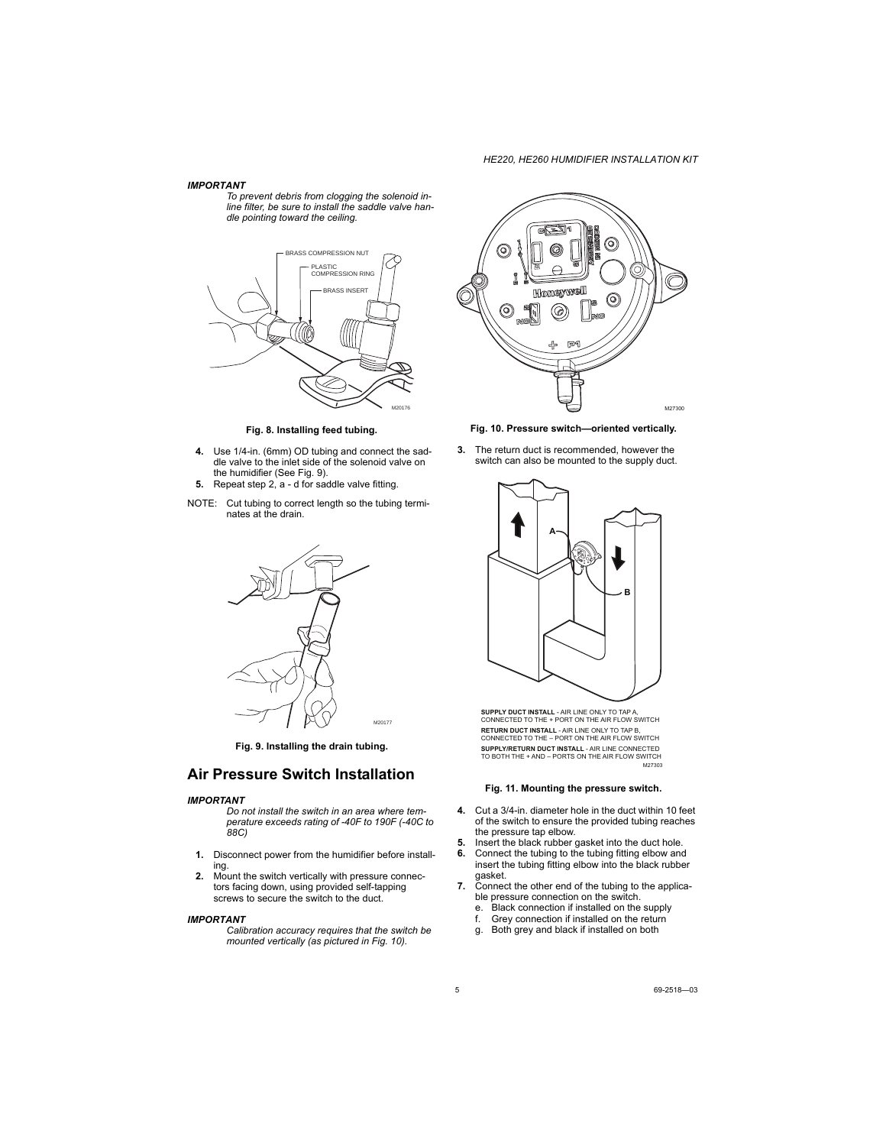#### *IMPORTANT*

*To prevent debris from clogging the solenoid inline filter, be sure to install the saddle valve handle pointing toward the ceiling.*



**Fig. 8. Installing feed tubing.**

- **4.** Use 1/4-in. (6mm) OD tubing and connect the saddle valve to the inlet side of the solenoid valve on the humidifier (See Fig. 9).
- **5.** Repeat step 2, a d for saddle valve fitting.
- NOTE: Cut tubing to correct length so the tubing terminates at the drain.



**Fig. 9. Installing the drain tubing.**

## **Air Pressure Switch Installation**

#### *IMPORTANT*

*Do not install the switch in an area where temperature exceeds rating of -40F to 190F (-40C to 88C)*

- **1.** Disconnect power from the humidifier before installing.
- **2.** Mount the switch vertically with pressure connectors facing down, using provided self-tapping screws to secure the switch to the duct.

#### *IMPORTANT*

*Calibration accuracy requires that the switch be mounted vertically (as pictured in Fig. 10).*



**Fig. 10. Pressure switch—oriented vertically.**

**3.** The return duct is recommended, however the switch can also be mounted to the supply duct.



M27303 **SUPPLY DUCT INSTALL** - AIR LINE ONLY TO TAP A, CONNECTED TO THE + PORT ON THE AIR FLOW SWITCH **RETURN DUCT INSTALL** - AIR LINE ONLY TO TAP B, CONNECTED TO THE – PORT ON THE AIR FLOW SWITCH **SUPPLY/RETURN DUCT INSTALL** - AIR LINE CONNECTED TO BOTH THE + AND – PORTS ON THE AIR FLOW SWITCH

#### **Fig. 11. Mounting the pressure switch.**

- **4.** Cut a 3/4-in. diameter hole in the duct within 10 feet of the switch to ensure the provided tubing reaches the pressure tap elbow.
- **5.** Insert the black rubber gasket into the duct hole.
- **6.** Connect the tubing to the tubing fitting elbow and insert the tubing fitting elbow into the black rubber gasket.
- **7.** Connect the other end of the tubing to the applicable pressure connection on the switch.
	- e. Black connection if installed on the supply
	- f. Grey connection if installed on the return
	- g. Both grey and black if installed on both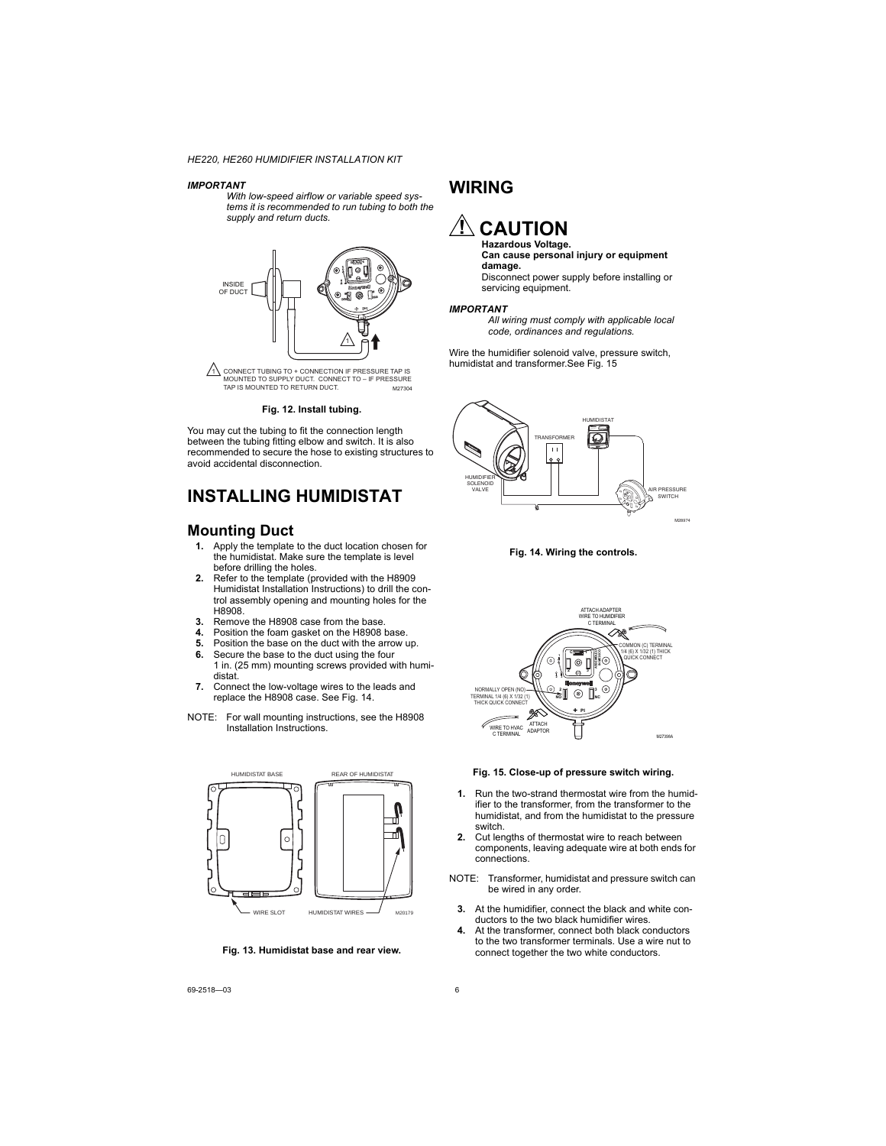#### *IMPORTANT*

*With low-speed airflow or variable speed systems it is recommended to run tubing to both the supply and return ducts.*



#### **Fig. 12. Install tubing.**

You may cut the tubing to fit the connection length between the tubing fitting elbow and switch. It is also recommended to secure the hose to existing structures to avoid accidental disconnection.

## **INSTALLING HUMIDISTAT**

## **Mounting Duct**

- **1.** Apply the template to the duct location chosen for the humidistat. Make sure the template is level before drilling the holes.
- **2.** Refer to the template (provided with the H8909 Humidistat Installation Instructions) to drill the control assembly opening and mounting holes for the H8908.
- **3.** Remove the H8908 case from the base.
- **4.** Position the foam gasket on the H8908 base.
- **5.** Position the base on the duct with the arrow up.
- **6.** Secure the base to the duct using the four
- 1 in. (25 mm) mounting screws provided with humidistat.
- **7.** Connect the low-voltage wires to the leads and replace the H8908 case. See Fig. 14.
- NOTE: For wall mounting instructions, see the H8908 Installation Instructions.



**Fig. 13. Humidistat base and rear view.**

## **WIRING**

## **CAUTION Hazardous Voltage.**

**Can cause personal injury or equipment damage.**

Disconnect power supply before installing or servicing equipment.

#### *IMPORTANT*

*All wiring must comply with applicable local code, ordinances and regulations.*

Wire the humidifier solenoid valve, pressure switch, humidistat and transformer.See Fig. 15







#### **Fig. 15. Close-up of pressure switch wiring.**

- **1.** Run the two-strand thermostat wire from the humidifier to the transformer, from the transformer to the humidistat, and from the humidistat to the pressure switch.
- **2.** Cut lengths of thermostat wire to reach between components, leaving adequate wire at both ends for connections.
- NOTE: Transformer, humidistat and pressure switch can be wired in any order.
	- **3.** At the humidifier, connect the black and white conductors to the two black humidifier wires.
	- **4.** At the transformer, connect both black conductors to the two transformer terminals. Use a wire nut to connect together the two white conductors.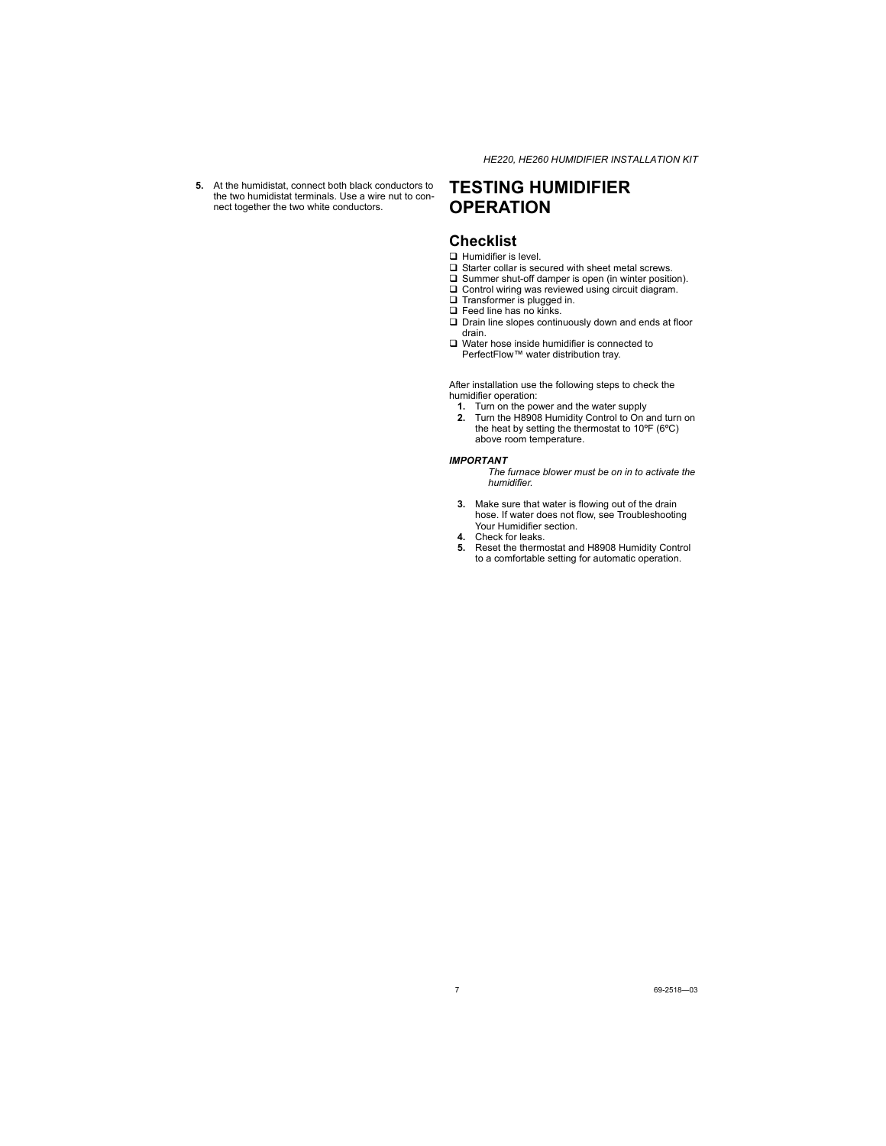**5.** At the humidistat, connect both black conductors to the two humidistat terminals. Use a wire nut to connect together the two white conductors.

## **TESTING HUMIDIFIER OPERATION**

## **Checklist**

- **Humidifier is level.**
- $\square$  Starter collar is secured with sheet metal screws.
- □ Summer shut-off damper is open (in winter position).
- Control wiring was reviewed using circuit diagram.
- **Transformer** is plugged in.
- $\Box$  Feed line has no kinks.
- $\square$  Drain line slopes continuously down and ends at floor drain.
- Water hose inside humidifier is connected to PerfectFlow™ water distribution tray.

After installation use the following steps to check the humidifier operation:

- **1.** Turn on the power and the water supply
- **2.** Turn the H8908 Humidity Control to On and turn on the heat by setting the thermostat to 10ºF (6ºC) above room temperature.

#### *IMPORTANT*

*The furnace blower must be on in to activate the humidifier.*

- **3.** Make sure that water is flowing out of the drain hose. If water does not flow, see Troubleshooting Your Humidifier section.
- **4.** Check for leaks.
- **5.** Reset the thermostat and H8908 Humidity Control to a comfortable setting for automatic operation.